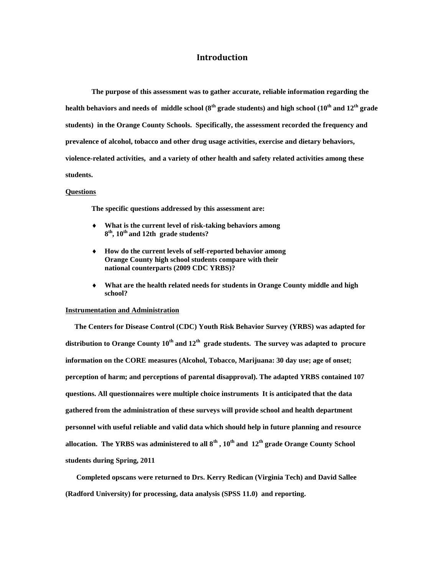#### **Introduction**

**The purpose of this assessment was to gather accurate, reliable information regarding the health behaviors and needs of middle school (8th grade students) and high school (10th and 12 th grade students) in the Orange County Schools. Specifically, the assessment recorded the frequency and prevalence of alcohol, tobacco and other drug usage activities, exercise and dietary behaviors, violence-related activities, and a variety of other health and safety related activities among these students.**

#### **Questions**

**The specific questions addressed by this assessment are:**

- **What is the current level of risk-taking behaviors among 8 th , 10th and 12th grade students?**
- **How do the current levels of self-reported behavior among Orange County high school students compare with their national counterparts (2009 CDC YRBS)?**
- **What are the health related needs for students in Orange County middle and high school?**

#### **Instrumentation and Administration**

 **The Centers for Disease Control (CDC) Youth Risk Behavior Survey (YRBS) was adapted for distribution to Orange County 10th and 12th grade students. The survey was adapted to procure information on the CORE measures (Alcohol, Tobacco, Marijuana: 30 day use; age of onset; perception of harm; and perceptions of parental disapproval). The adapted YRBS contained 107 questions. All questionnaires were multiple choice instruments It is anticipated that the data gathered from the administration of these surveys will provide school and health department personnel with useful reliable and valid data which should help in future planning and resource allocation. The YRBS was administered to all 8th , 10th and 12 th grade Orange County School students during Spring, 2011**

 **Completed opscans were returned to Drs. Kerry Redican (Virginia Tech) and David Sallee (Radford University) for processing, data analysis (SPSS 11.0) and reporting.**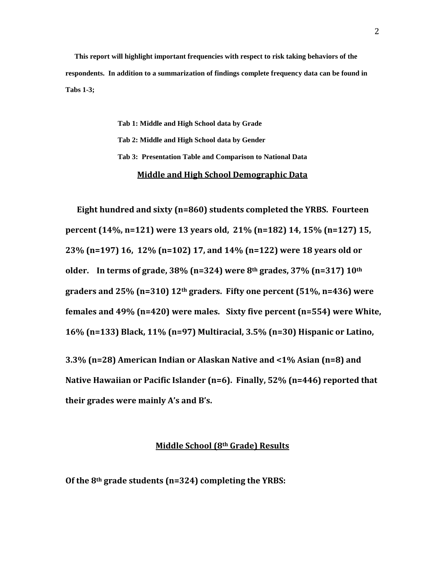**This report will highlight important frequencies with respect to risk taking behaviors of the respondents. In addition to a summarization of findings complete frequency data can be found in Tabs 1-3;**

> **Tab 1: Middle and High School data by Grade Tab 2: Middle and High School data by Gender Tab 3: Presentation Table and Comparison to National Data Middle and High School Demographic Data**

 **Eight hundred and sixty (n=860) students completed the YRBS. Fourteen percent (14%, n=121) were 13 years old, 21% (n=182) 14, 15% (n=127) 15, 23% (n=197) 16, 12% (n=102) 17, and 14% (n=122) were 18 years old or older. In terms of grade, 38% (n=324) were 8th grades, 37% (n=317) 10th graders and 25% (n=310) 12th graders. Fifty one percent (51%, n=436) were females and 49% (n=420) were males. Sixty five percent (n=554) were White, 16% (n=133) Black, 11% (n=97) Multiracial, 3.5% (n=30) Hispanic or Latino, 3.3% (n=28) American Indian or Alaskan Native and <1% Asian (n=8) and Native Hawaiian or Pacific Islander (n=6). Finally, 52% (n=446) reported that** 

**their grades were mainly A's and B's.**

#### **Middle School (8th Grade) Results**

**Of the 8th grade students (n=324) completing the YRBS:**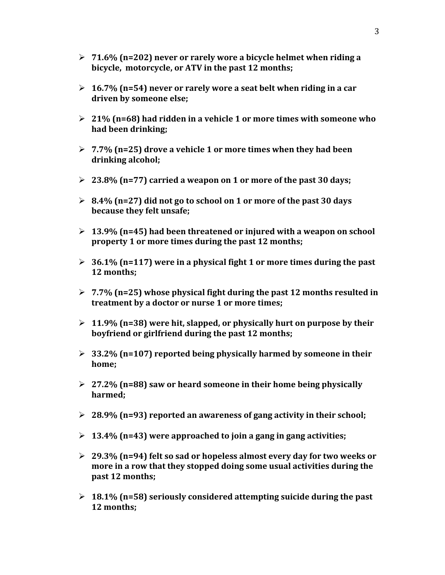- **71.6% (n=202) never or rarely wore a bicycle helmet when riding a bicycle, motorcycle, or ATV in the past 12 months;**
- **16.7% (n=54) never or rarely wore a seat belt when riding in a car driven by someone else;**
- **21% (n=68) had ridden in a vehicle 1 or more times with someone who had been drinking;**
- **7.7% (n=25) drove a vehicle 1 or more times when they had been drinking alcohol;**
- **23.8% (n=77) carried a weapon on 1 or more of the past 30 days;**
- **8.4% (n=27) did not go to school on 1 or more of the past 30 days because they felt unsafe;**
- **13.9% (n=45) had been threatened or injured with a weapon on school property 1 or more times during the past 12 months;**
- **36.1% (n=117) were in a physical fight 1 or more times during the past 12 months;**
- **7.7% (n=25) whose physical fight during the past 12 months resulted in treatment by a doctor or nurse 1 or more times;**
- **11.9% (n=38) were hit, slapped, or physically hurt on purpose by their boyfriend or girlfriend during the past 12 months;**
- **33.2% (n=107) reported being physically harmed by someone in their home;**
- **27.2% (n=88) saw or heard someone in their home being physically harmed;**
- **28.9% (n=93) reported an awareness of gang activity in their school;**
- **13.4% (n=43) were approached to join a gang in gang activities;**
- **29.3% (n=94) felt so sad or hopeless almost every day for two weeks or more in a row that they stopped doing some usual activities during the past 12 months;**
- **18.1% (n=58) seriously considered attempting suicide during the past 12 months;**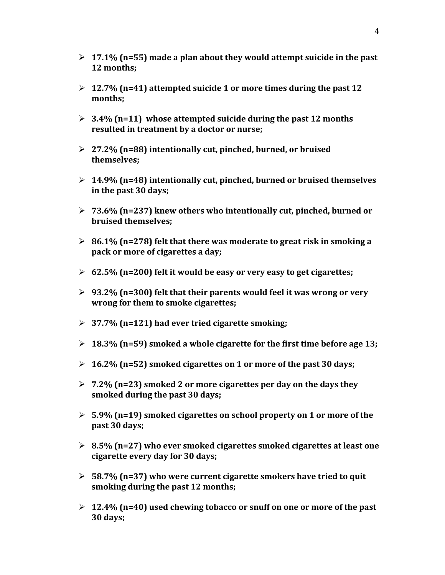- **17.1% (n=55) made a plan about they would attempt suicide in the past 12 months;**
- **12.7% (n=41) attempted suicide 1 or more times during the past 12 months;**
- **3.4% (n=11) whose attempted suicide during the past 12 months resulted in treatment by a doctor or nurse;**
- **27.2% (n=88) intentionally cut, pinched, burned, or bruised themselves;**
- **14.9% (n=48) intentionally cut, pinched, burned or bruised themselves in the past 30 days;**
- **73.6% (n=237) knew others who intentionally cut, pinched, burned or bruised themselves;**
- **86.1% (n=278) felt that there was moderate to great risk in smoking a pack or more of cigarettes a day;**
- **62.5% (n=200) felt it would be easy or very easy to get cigarettes;**
- **93.2% (n=300) felt that their parents would feel it was wrong or very wrong for them to smoke cigarettes;**
- **37.7% (n=121) had ever tried cigarette smoking;**
- **18.3% (n=59) smoked a whole cigarette for the first time before age 13;**
- **16.2% (n=52) smoked cigarettes on 1 or more of the past 30 days;**
- **7.2% (n=23) smoked 2 or more cigarettes per day on the days they smoked during the past 30 days;**
- **5.9% (n=19) smoked cigarettes on school property on 1 or more of the past 30 days;**
- **8.5% (n=27) who ever smoked cigarettes smoked cigarettes at least one cigarette every day for 30 days;**
- **58.7% (n=37) who were current cigarette smokers have tried to quit smoking during the past 12 months;**
- **12.4% (n=40) used chewing tobacco or snuff on one or more of the past 30 days;**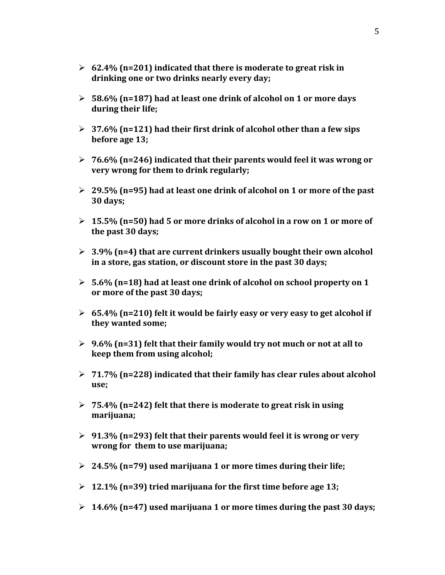- **62.4% (n=201) indicated that there is moderate to great risk in drinking one or two drinks nearly every day;**
- **58.6% (n=187) had at least one drink of alcohol on 1 or more days during their life;**
- **37.6% (n=121) had their first drink of alcohol other than a few sips before age 13;**
- **76.6% (n=246) indicated that their parents would feel it was wrong or very wrong for them to drink regularly;**
- **29.5% (n=95) had at least one drink of alcohol on 1 or more of the past 30 days;**
- **15.5% (n=50) had 5 or more drinks of alcohol in a row on 1 or more of the past 30 days;**
- **3.9% (n=4) that are current drinkers usually bought their own alcohol in a store, gas station, or discount store in the past 30 days;**
- **5.6% (n=18) had at least one drink of alcohol on school property on 1 or more of the past 30 days;**
- **65.4% (n=210) felt it would be fairly easy or very easy to get alcohol if they wanted some;**
- **9.6% (n=31) felt that their family would try not much or not at all to keep them from using alcohol;**
- **71.7% (n=228) indicated that their family has clear rules about alcohol use;**
- **75.4% (n=242) felt that there is moderate to great risk in using marijuana;**
- **91.3% (n=293) felt that their parents would feel it is wrong or very wrong for them to use marijuana;**
- **24.5% (n=79) used marijuana 1 or more times during their life;**
- **12.1% (n=39) tried marijuana for the first time before age 13;**
- **14.6% (n=47) used marijuana 1 or more times during the past 30 days;**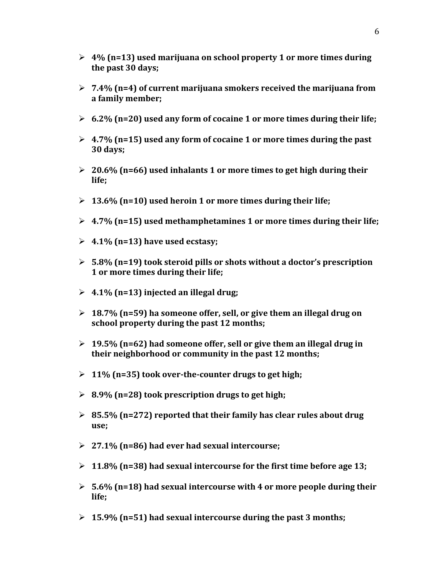- **4% (n=13) used marijuana on school property 1 or more times during the past 30 days;**
- **7.4% (n=4) of current marijuana smokers received the marijuana from a family member;**
- **6.2% (n=20) used any form of cocaine 1 or more times during their life;**
- **4.7% (n=15) used any form of cocaine 1 or more times during the past 30 days;**
- **20.6% (n=66) used inhalants 1 or more times to get high during their life;**
- **13.6% (n=10) used heroin 1 or more times during their life;**
- **4.7% (n=15) used methamphetamines 1 or more times during their life;**
- **4.1% (n=13) have used ecstasy;**
- **5.8% (n=19) took steroid pills or shots without a doctor's prescription 1 or more times during their life;**
- **4.1% (n=13) injected an illegal drug;**
- **18.7% (n=59) ha someone offer, sell, or give them an illegal drug on school property during the past 12 months;**
- **19.5% (n=62) had someone offer, sell or give them an illegal drug in their neighborhood or community in the past 12 months;**
- **11% (n=35) took over-the-counter drugs to get high;**
- **8.9% (n=28) took prescription drugs to get high;**
- **85.5% (n=272) reported that their family has clear rules about drug use;**
- **27.1% (n=86) had ever had sexual intercourse;**
- **11.8% (n=38) had sexual intercourse for the first time before age 13;**
- **5.6% (n=18) had sexual intercourse with 4 or more people during their life;**
- **15.9% (n=51) had sexual intercourse during the past 3 months;**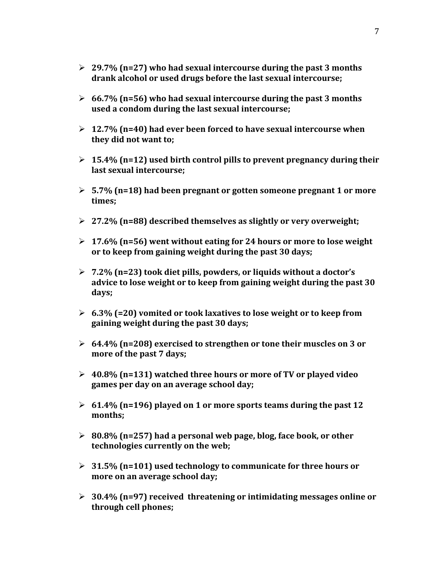- **29.7% (n=27) who had sexual intercourse during the past 3 months drank alcohol or used drugs before the last sexual intercourse;**
- **66.7% (n=56) who had sexual intercourse during the past 3 months used a condom during the last sexual intercourse;**
- **12.7% (n=40) had ever been forced to have sexual intercourse when they did not want to;**
- **15.4% (n=12) used birth control pills to prevent pregnancy during their last sexual intercourse;**
- **5.7% (n=18) had been pregnant or gotten someone pregnant 1 or more times;**
- **27.2% (n=88) described themselves as slightly or very overweight;**
- **17.6% (n=56) went without eating for 24 hours or more to lose weight or to keep from gaining weight during the past 30 days;**
- **7.2% (n=23) took diet pills, powders, or liquids without a doctor's advice to lose weight or to keep from gaining weight during the past 30 days;**
- **6.3% (=20) vomited or took laxatives to lose weight or to keep from gaining weight during the past 30 days;**
- **64.4% (n=208) exercised to strengthen or tone their muscles on 3 or more of the past 7 days;**
- **40.8% (n=131) watched three hours or more of TV or played video games per day on an average school day;**
- **61.4% (n=196) played on 1 or more sports teams during the past 12 months;**
- **80.8% (n=257) had a personal web page, blog, face book, or other technologies currently on the web;**
- **31.5% (n=101) used technology to communicate for three hours or more on an average school day;**
- **30.4% (n=97) received threatening or intimidating messages online or through cell phones;**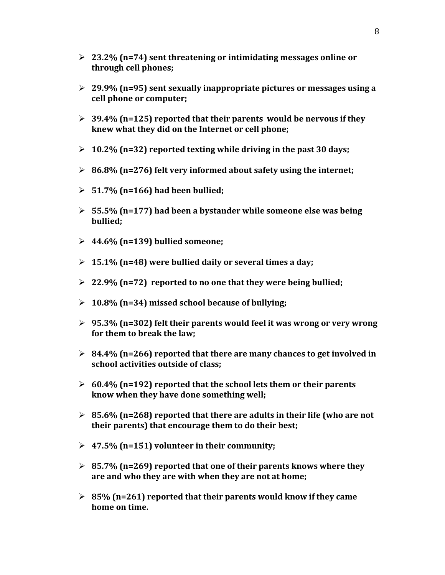- **23.2% (n=74) sent threatening or intimidating messages online or through cell phones;**
- **29.9% (n=95) sent sexually inappropriate pictures or messages using a cell phone or computer;**
- **39.4% (n=125) reported that their parents would be nervous if they knew what they did on the Internet or cell phone;**
- **10.2% (n=32) reported texting while driving in the past 30 days;**
- **86.8% (n=276) felt very informed about safety using the internet;**
- **51.7% (n=166) had been bullied;**
- **55.5% (n=177) had been a bystander while someone else was being bullied;**
- **44.6% (n=139) bullied someone;**
- **15.1% (n=48) were bullied daily or several times a day;**
- **22.9% (n=72) reported to no one that they were being bullied;**
- **10.8% (n=34) missed school because of bullying;**
- **95.3% (n=302) felt their parents would feel it was wrong or very wrong for them to break the law;**
- **84.4% (n=266) reported that there are many chances to get involved in school activities outside of class;**
- **60.4% (n=192) reported that the school lets them or their parents know when they have done something well;**
- **85.6% (n=268) reported that there are adults in their life (who are not their parents) that encourage them to do their best;**
- **47.5% (n=151) volunteer in their community;**
- **85.7% (n=269) reported that one of their parents knows where they are and who they are with when they are not at home;**
- **85% (n=261) reported that their parents would know if they came home on time.**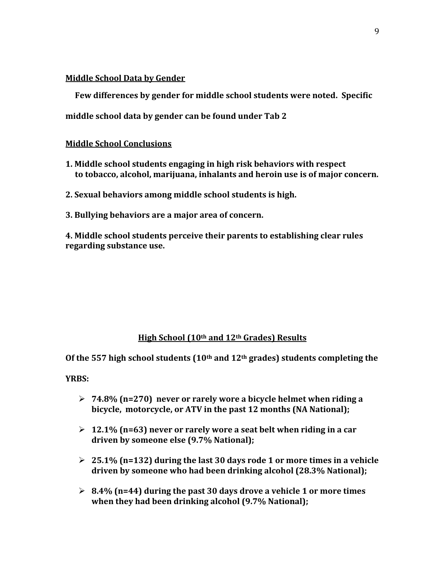#### **Middle School Data by Gender**

 **Few differences by gender for middle school students were noted. Specific** 

**middle school data by gender can be found under Tab 2**

#### **Middle School Conclusions**

- **1. Middle school students engaging in high risk behaviors with respect to tobacco, alcohol, marijuana, inhalants and heroin use is of major concern.**
- **2. Sexual behaviors among middle school students is high.**
- **3. Bullying behaviors are a major area of concern.**

**4. Middle school students perceive their parents to establishing clear rules regarding substance use.**

## **High School (10th and 12th Grades) Results**

**Of the 557 high school students (10th and 12th grades) students completing the** 

**YRBS:**

- **74.8% (n=270) never or rarely wore a bicycle helmet when riding a bicycle, motorcycle, or ATV in the past 12 months (NA National);**
- **12.1% (n=63) never or rarely wore a seat belt when riding in a car driven by someone else (9.7% National);**
- **25.1% (n=132) during the last 30 days rode 1 or more times in a vehicle driven by someone who had been drinking alcohol (28.3% National);**
- **8.4% (n=44) during the past 30 days drove a vehicle 1 or more times when they had been drinking alcohol (9.7% National);**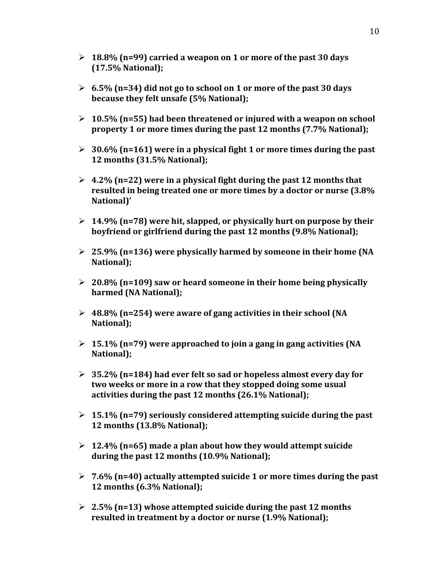- **18.8% (n=99) carried a weapon on 1 or more of the past 30 days (17.5% National);**
- **6.5% (n=34) did not go to school on 1 or more of the past 30 days because they felt unsafe (5% National);**
- **10.5% (n=55) had been threatened or injured with a weapon on school property 1 or more times during the past 12 months (7.7% National);**
- **30.6% (n=161) were in a physical fight 1 or more times during the past 12 months (31.5% National);**
- **4.2% (n=22) were in a physical fight during the past 12 months that resulted in being treated one or more times by a doctor or nurse (3.8% National)'**
- **14.9% (n=78) were hit, slapped, or physically hurt on purpose by their boyfriend or girlfriend during the past 12 months (9.8% National);**
- **25.9% (n=136) were physically harmed by someone in their home (NA National);**
- **20.8% (n=109) saw or heard someone in their home being physically harmed (NA National);**
- **48.8% (n=254) were aware of gang activities in their school (NA National);**
- **15.1% (n=79) were approached to join a gang in gang activities (NA National);**
- **35.2% (n=184) had ever felt so sad or hopeless almost every day for two weeks or more in a row that they stopped doing some usual activities during the past 12 months (26.1% National);**
- **15.1% (n=79) seriously considered attempting suicide during the past 12 months (13.8% National);**
- **12.4% (n=65) made a plan about how they would attempt suicide during the past 12 months (10.9% National);**
- **7.6% (n=40) actually attempted suicide 1 or more times during the past 12 months (6.3% National);**
- **2.5% (n=13) whose attempted suicide during the past 12 months resulted in treatment by a doctor or nurse (1.9% National);**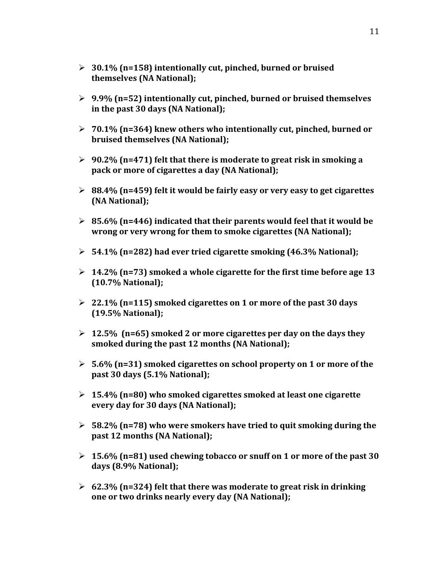- **30.1% (n=158) intentionally cut, pinched, burned or bruised themselves (NA National);**
- **9.9% (n=52) intentionally cut, pinched, burned or bruised themselves in the past 30 days (NA National);**
- **70.1% (n=364) knew others who intentionally cut, pinched, burned or bruised themselves (NA National);**
- **90.2% (n=471) felt that there is moderate to great risk in smoking a pack or more of cigarettes a day (NA National);**
- **88.4% (n=459) felt it would be fairly easy or very easy to get cigarettes (NA National);**
- **85.6% (n=446) indicated that their parents would feel that it would be wrong or very wrong for them to smoke cigarettes (NA National);**
- **54.1% (n=282) had ever tried cigarette smoking (46.3% National);**
- **14.2% (n=73) smoked a whole cigarette for the first time before age 13 (10.7% National);**
- **22.1% (n=115) smoked cigarettes on 1 or more of the past 30 days (19.5% National);**
- **12.5% (n=65) smoked 2 or more cigarettes per day on the days they smoked during the past 12 months (NA National);**
- **5.6% (n=31) smoked cigarettes on school property on 1 or more of the past 30 days (5.1% National);**
- **15.4% (n=80) who smoked cigarettes smoked at least one cigarette every day for 30 days (NA National);**
- **58.2% (n=78) who were smokers have tried to quit smoking during the past 12 months (NA National);**
- **15.6% (n=81) used chewing tobacco or snuff on 1 or more of the past 30 days (8.9% National);**
- **62.3% (n=324) felt that there was moderate to great risk in drinking one or two drinks nearly every day (NA National);**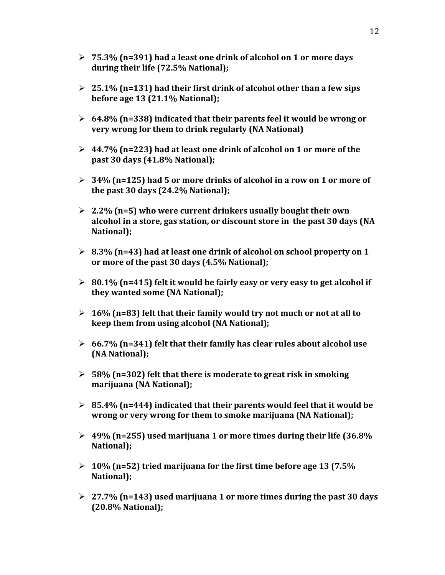- **75.3% (n=391) had a least one drink of alcohol on 1 or more days during their life (72.5% National);**
- **25.1% (n=131) had their first drink of alcohol other than a few sips before age 13 (21.1% National);**
- **64.8% (n=338) indicated that their parents feel it would be wrong or very wrong for them to drink regularly (NA National)**
- **44.7% (n=223) had at least one drink of alcohol on 1 or more of the past 30 days (41.8% National);**
- **34% (n=125) had 5 or more drinks of alcohol in a row on 1 or more of the past 30 days (24.2% National);**
- **2.2% (n=5) who were current drinkers usually bought their own alcohol in a store, gas station, or discount store in the past 30 days (NA National);**
- **8.3% (n=43) had at least one drink of alcohol on school property on 1 or more of the past 30 days (4.5% National);**
- **80.1% (n=415) felt it would be fairly easy or very easy to get alcohol if they wanted some (NA National);**
- **16% (n=83) felt that their family would try not much or not at all to keep them from using alcohol (NA National);**
- **66.7% (n=341) felt that their family has clear rules about alcohol use (NA National);**
- **58% (n=302) felt that there is moderate to great risk in smoking marijuana (NA National);**
- **85.4% (n=444) indicated that their parents would feel that it would be wrong or very wrong for them to smoke marijuana (NA National);**
- **49% (n=255) used marijuana 1 or more times during their life (36.8% National);**
- **10% (n=52) tried marijuana for the first time before age 13 (7.5% National);**
- **27.7% (n=143) used marijuana 1 or more times during the past 30 days (20.8% National);**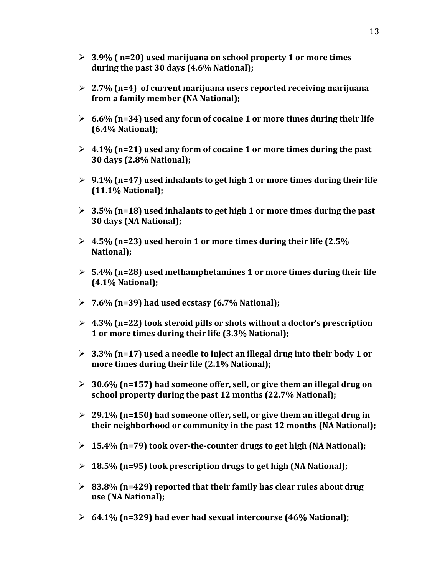- **3.9% ( n=20) used marijuana on school property 1 or more times during the past 30 days (4.6% National);**
- **2.7% (n=4) of current marijuana users reported receiving marijuana from a family member (NA National);**
- **6.6% (n=34) used any form of cocaine 1 or more times during their life (6.4% National);**
- **4.1% (n=21) used any form of cocaine 1 or more times during the past 30 days (2.8% National);**
- **9.1% (n=47) used inhalants to get high 1 or more times during their life (11.1% National);**
- **3.5% (n=18) used inhalants to get high 1 or more times during the past 30 days (NA National);**
- **4.5% (n=23) used heroin 1 or more times during their life (2.5% National);**
- **5.4% (n=28) used methamphetamines 1 or more times during their life (4.1% National);**
- **7.6% (n=39) had used ecstasy (6.7% National);**
- **4.3% (n=22) took steroid pills or shots without a doctor's prescription 1 or more times during their life (3.3% National);**
- **3.3% (n=17) used a needle to inject an illegal drug into their body 1 or more times during their life (2.1% National);**
- **30.6% (n=157) had someone offer, sell, or give them an illegal drug on school property during the past 12 months (22.7% National);**
- **29.1% (n=150) had someone offer, sell, or give them an illegal drug in their neighborhood or community in the past 12 months (NA National);**
- **15.4% (n=79) took over-the-counter drugs to get high (NA National);**
- **18.5% (n=95) took prescription drugs to get high (NA National);**
- **83.8% (n=429) reported that their family has clear rules about drug use (NA National);**
- **64.1% (n=329) had ever had sexual intercourse (46% National);**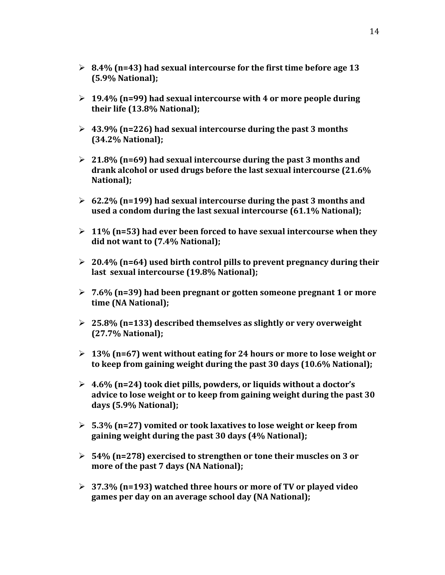- **8.4% (n=43) had sexual intercourse for the first time before age 13 (5.9% National);**
- **19.4% (n=99) had sexual intercourse with 4 or more people during their life (13.8% National);**
- **43.9% (n=226) had sexual intercourse during the past 3 months (34.2% National);**
- **21.8% (n=69) had sexual intercourse during the past 3 months and drank alcohol or used drugs before the last sexual intercourse (21.6% National);**
- **62.2% (n=199) had sexual intercourse during the past 3 months and used a condom during the last sexual intercourse (61.1% National);**
- **11% (n=53) had ever been forced to have sexual intercourse when they did not want to (7.4% National);**
- **20.4% (n=64) used birth control pills to prevent pregnancy during their last sexual intercourse (19.8% National);**
- **7.6% (n=39) had been pregnant or gotten someone pregnant 1 or more time (NA National);**
- **25.8% (n=133) described themselves as slightly or very overweight (27.7% National);**
- **13% (n=67) went without eating for 24 hours or more to lose weight or to keep from gaining weight during the past 30 days (10.6% National);**
- **4.6% (n=24) took diet pills, powders, or liquids without a doctor's advice to lose weight or to keep from gaining weight during the past 30 days (5.9% National);**
- **5.3% (n=27) vomited or took laxatives to lose weight or keep from gaining weight during the past 30 days (4% National);**
- **54% (n=278) exercised to strengthen or tone their muscles on 3 or more of the past 7 days (NA National);**
- **37.3% (n=193) watched three hours or more of TV or played video games per day on an average school day (NA National);**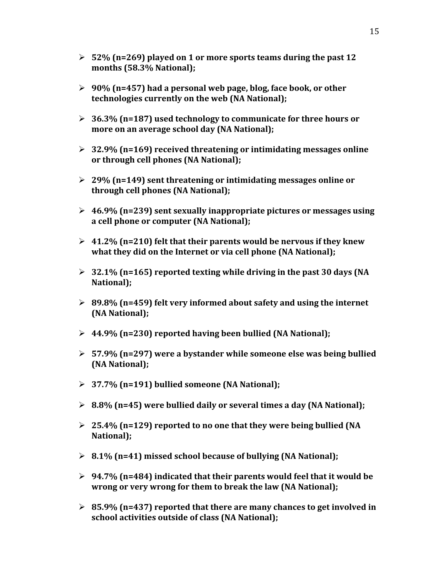- **52% (n=269) played on 1 or more sports teams during the past 12 months (58.3% National);**
- **90% (n=457) had a personal web page, blog, face book, or other technologies currently on the web (NA National);**
- **36.3% (n=187) used technology to communicate for three hours or more on an average school day (NA National);**
- **32.9% (n=169) received threatening or intimidating messages online or through cell phones (NA National);**
- **29% (n=149) sent threatening or intimidating messages online or through cell phones (NA National);**
- **46.9% (n=239) sent sexually inappropriate pictures or messages using a cell phone or computer (NA National);**
- **41.2% (n=210) felt that their parents would be nervous if they knew what they did on the Internet or via cell phone (NA National);**
- **32.1% (n=165) reported texting while driving in the past 30 days (NA National);**
- **89.8% (n=459) felt very informed about safety and using the internet (NA National);**
- **44.9% (n=230) reported having been bullied (NA National);**
- **57.9% (n=297) were a bystander while someone else was being bullied (NA National);**
- **37.7% (n=191) bullied someone (NA National);**
- **8.8% (n=45) were bullied daily or several times a day (NA National);**
- **25.4% (n=129) reported to no one that they were being bullied (NA National);**
- **8.1% (n=41) missed school because of bullying (NA National);**
- **94.7% (n=484) indicated that their parents would feel that it would be wrong or very wrong for them to break the law (NA National);**
- **85.9% (n=437) reported that there are many chances to get involved in school activities outside of class (NA National);**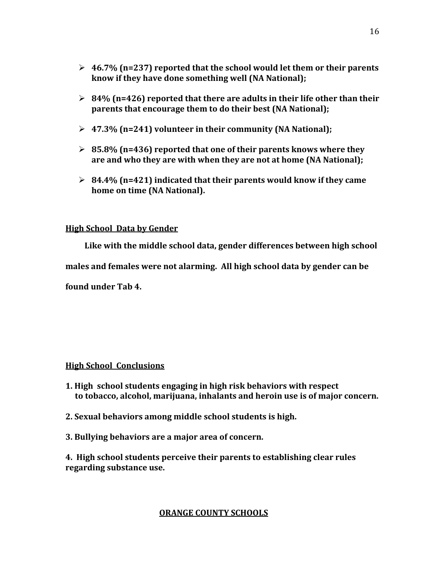- **46.7% (n=237) reported that the school would let them or their parents know if they have done something well (NA National);**
- **84% (n=426) reported that there are adults in their life other than their parents that encourage them to do their best (NA National);**
- **47.3% (n=241) volunteer in their community (NA National);**
- **85.8% (n=436) reported that one of their parents knows where they are and who they are with when they are not at home (NA National);**
- **84.4% (n=421) indicated that their parents would know if they came home on time (NA National).**

## **High School Data by Gender**

 **Like with the middle school data, gender differences between high school males and females were not alarming. All high school data by gender can be found under Tab 4.** 

## **High School Conclusions**

- **1. High school students engaging in high risk behaviors with respect to tobacco, alcohol, marijuana, inhalants and heroin use is of major concern.**
- **2. Sexual behaviors among middle school students is high.**
- **3. Bullying behaviors are a major area of concern.**

**4. High school students perceive their parents to establishing clear rules regarding substance use.**

## **ORANGE COUNTY SCHOOLS**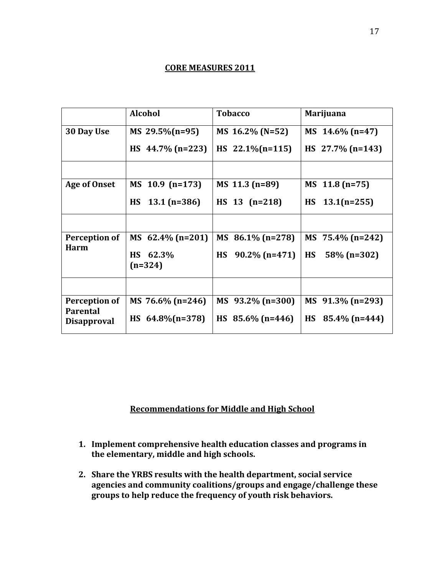#### **CORE MEASURES 2011**

|                                                        | <b>Alcohol</b>                  | <b>Tobacco</b>                | <b>Marijuana</b>              |
|--------------------------------------------------------|---------------------------------|-------------------------------|-------------------------------|
| 30 Day Use                                             | MS 29.5% (n=95)                 | MS 16.2% (N=52)               | MS $14.6\%$ (n=47)            |
|                                                        | HS $44.7\%$ (n=223)             | HS $22.1\%$ (n=115)           | HS $27.7\%$ (n=143)           |
|                                                        |                                 |                               |                               |
| <b>Age of Onset</b>                                    | MS 10.9 (n=173)                 | MS 11.3 (n=89)                | MS 11.8 (n=75)                |
|                                                        | <b>HS</b><br>$13.1$ (n=386)     | $HS$ 13 (n=218)               | $13.1(n=255)$<br><b>HS</b>    |
|                                                        |                                 |                               |                               |
| Perception of<br><b>Harm</b>                           | MS $62.4\%$ (n=201)             | MS $86.1\%$ (n=278)           | MS $75.4\%$ (n=242)           |
|                                                        | 62.3%<br><b>HS</b><br>$(n=324)$ | <b>HS</b><br>$90.2\%$ (n=471) | <b>HS</b><br>58% (n=302)      |
|                                                        |                                 |                               |                               |
| Perception of<br><b>Parental</b><br><b>Disapproval</b> | MS 76.6% $(n=246)$              | $MS$ 93.2% (n=300)            | MS 91.3% (n=293)              |
|                                                        | HS $64.8\%$ (n=378)             | HS $85.6\%$ (n=446)           | $85.4\%$ (n=444)<br><b>HS</b> |

# **Recommendations for Middle and High School**

- **1. Implement comprehensive health education classes and programs in the elementary, middle and high schools.**
- **2. Share the YRBS results with the health department, social service agencies and community coalitions/groups and engage/challenge these groups to help reduce the frequency of youth risk behaviors.**